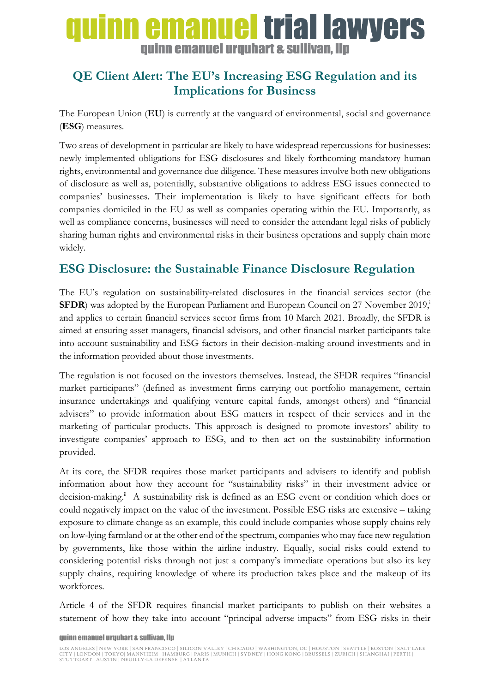# uinn emanuel trial lawyers quinn emanuel urquhart & sullivan, llp

## **QE Client Alert: The EU's Increasing ESG Regulation and its Implications for Business**

The European Union (**EU**) is currently at the vanguard of environmental, social and governance (**ESG**) measures.

Two areas of development in particular are likely to have widespread repercussions for businesses: newly implemented obligations for ESG disclosures and likely forthcoming mandatory human rights, environmental and governance due diligence. These measures involve both new obligations of disclosure as well as, potentially, substantive obligations to address ESG issues connected to companies' businesses. Their implementation is likely to have significant effects for both companies domiciled in the EU as well as companies operating within the EU. Importantly, as well as compliance concerns, businesses will need to consider the attendant legal risks of publicly sharing human rights and environmental risks in their business operations and supply chain more widely.

#### **ESG Disclosure: the Sustainable Finance Disclosure Regulation**

The EU's regulation on sustainability-related disclosures in the financial services sector (the **SFDR**) was adopted by the European Parliament and European Council on 27 November 2019, and applies to certain financial services sector firms from 10 March 2021. Broadly, the SFDR is aimed at ensuring asset managers, financial advisors, and other financial market participants take into account sustainability and ESG factors in their decision-making around investments and in the information provided about those investments.

The regulation is not focused on the investors themselves. Instead, the SFDR requires "financial market participants" (defined as investment firms carrying out portfolio management, certain insurance undertakings and qualifying venture capital funds, amongst others) and "financial advisers" to provide information about ESG matters in respect of their services and in the marketing of particular products. This approach is designed to promote investors' ability to investigate companies' approach to ESG, and to then act on the sustainability information provided.

At its core, the SFDR requires those market participants and advisers to identify and publish information about how they account for "sustainability risks" in their investment advice or decision-making.<sup>ii</sup> A sustainability risk is defined as an ESG event or condition which does or could negatively impact on the value of the investment. Possible ESG risks are extensive – taking exposure to climate change as an example, this could include companies whose supply chains rely on low-lying farmland or at the other end of the spectrum, companies who may face new regulation by governments, like those within the airline industry. Equally, social risks could extend to considering potential risks through not just a company's immediate operations but also its key supply chains, requiring knowledge of where its production takes place and the makeup of its workforces.

Article 4 of the SFDR requires financial market participants to publish on their websites a statement of how they take into account "principal adverse impacts" from ESG risks in their

#### quinn emanuel urquhart & sullivan, llp

LOS ANGELES | NEW YORK | SAN FRANCISCO | SILICON VALLEY | CHICAGO | WASHINGTON, DC | HOUSTON | SEATTLE | BOSTON | SALT LAKE CITY | LONDON | TOKYO| MANNHEIM | HAMBURG | PARIS | MUNICH | SYDNEY | HONG KONG | BRUSSELS | ZURICH | SHANGHAI | PERTH | STUTTGART | AUSTIN | NEUILLY-LA DEFENSE | ATLANTA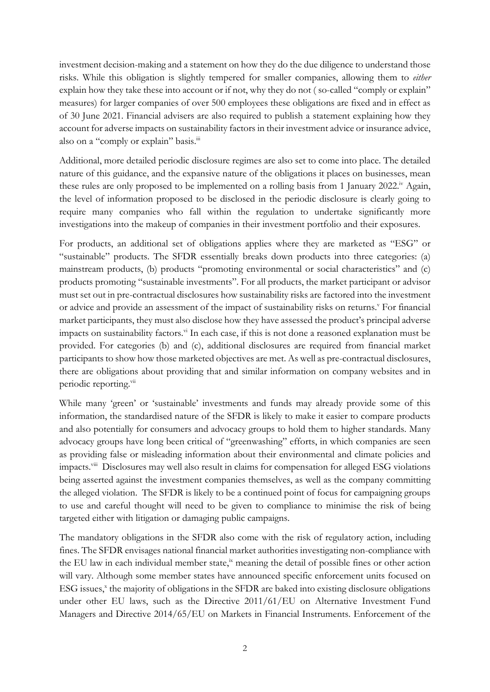investment decision-making and a statement on how they do the due diligence to understand those risks. While this obligation is slightly tempered for smaller companies, allowing them to *either* explain how they take these into account or if not, why they do not ( so-called "comply or explain" measures) for larger companies of over 500 employees these obligations are fixed and in effect as of 30 June 2021. Financial advisers are also required to publish a statement explaining how they account for adverse impacts on sustainability factors in their investment advice or insurance advice, also on a "comply or explain" basis.<sup>iii</sup>

Additional, more detailed periodic disclosure regimes are also set to come into place. The detailed nature of this guidance, and the expansive nature of the obligations it places on businesses, mean these rules are only proposed to be implemented on a rolling basis from 1 January 2022.<sup>iv</sup> Again, the level of information proposed to be disclosed in the periodic disclosure is clearly going to require many companies who fall within the regulation to undertake significantly more investigations into the makeup of companies in their investment portfolio and their exposures.

For products, an additional set of obligations applies where they are marketed as "ESG" or "sustainable" products. The SFDR essentially breaks down products into three categories: (a) mainstream products, (b) products "promoting environmental or social characteristics" and (c) products promoting "sustainable investments". For all products, the market participant or advisor must set out in pre-contractual disclosures how sustainability risks are factored into the investment or advice and provide an assessment of the impact of sustainability risks on returns.<sup>v</sup> For financial market participants, they must also disclose how they have assessed the product's principal adverse impacts on sustainability factors.<sup>vi</sup> In each case, if this is not done a reasoned explanation must be provided. For categories (b) and (c), additional disclosures are required from financial market participants to show how those marketed objectives are met. As well as pre-contractual disclosures, there are obligations about providing that and similar information on company websites and in periodic reporting.<sup>vii</sup>

While many 'green' or 'sustainable' investments and funds may already provide some of this information, the standardised nature of the SFDR is likely to make it easier to compare products and also potentially for consumers and advocacy groups to hold them to higher standards. Many advocacy groups have long been critical of "greenwashing" efforts, in which companies are seen as providing false or misleading information about their environmental and climate policies and impacts.<sup>viii</sup> Disclosures may well also result in claims for compensation for alleged ESG violations being asserted against the investment companies themselves, as well as the company committing the alleged violation. The SFDR is likely to be a continued point of focus for campaigning groups to use and careful thought will need to be given to compliance to minimise the risk of being targeted either with litigation or damaging public campaigns.

The mandatory obligations in the SFDR also come with the risk of regulatory action, including fines. The SFDR envisages national financial market authorities investigating non-compliance with the EU law in each individual member state, $\dot{x}$  meaning the detail of possible fines or other action will vary. Although some member states have announced specific enforcement units focused on ESG issues,<sup>x</sup> the majority of obligations in the SFDR are baked into existing disclosure obligations under other EU laws, such as the Directive 2011/61/EU on Alternative Investment Fund Managers and Directive 2014/65/EU on Markets in Financial Instruments. Enforcement of the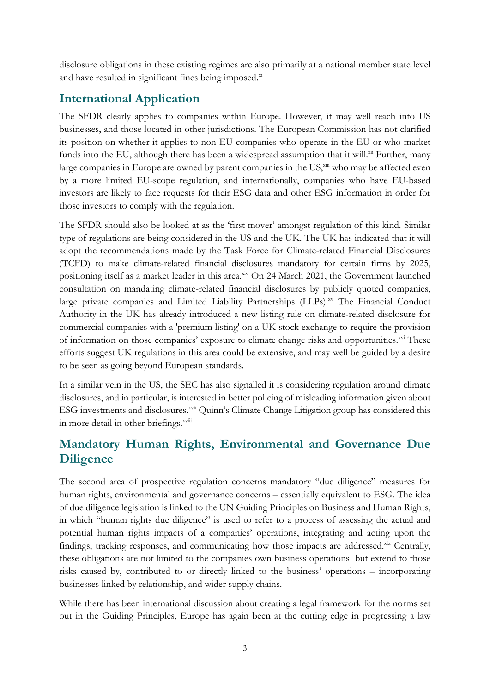disclosure obligations in these existing regimes are also primarily at a national member state level and have resulted in significant fines being imposed.xi

## **International Application**

The SFDR clearly applies to companies within Europe. However, it may well reach into US businesses, and those located in other jurisdictions. The European Commission has not clarified its position on whether it applies to non-EU companies who operate in the EU or who market funds into the EU, although there has been a widespread assumption that it will.<sup>xii</sup> Further, many large companies in Europe are owned by parent companies in the US,<sup>xiii</sup> who may be affected even by a more limited EU-scope regulation, and internationally, companies who have EU-based investors are likely to face requests for their ESG data and other ESG information in order for those investors to comply with the regulation.

The SFDR should also be looked at as the 'first mover' amongst regulation of this kind. Similar type of regulations are being considered in the US and the UK. The UK has indicated that it will adopt the recommendations made by the Task Force for Climate-related Financial Disclosures (TCFD) to make climate-related financial disclosures mandatory for certain firms by 2025, positioning itself as a market leader in this area.<sup>xiv</sup> On 24 March 2021, the Government launched consultation on mandating climate-related financial disclosures by publicly quoted companies, large private companies and Limited Liability Partnerships (LLPs).<sup>xv</sup> The Financial Conduct Authority in the UK has already introduced a new listing rule on climate-related disclosure for commercial companies with a 'premium listing' on a UK stock exchange to require the provision of information on those companies' exposure to climate change risks and opportunities.<sup>xvi</sup> These efforts suggest UK regulations in this area could be extensive, and may well be guided by a desire to be seen as going beyond European standards.

In a similar vein in the US, the SEC has also signalled it is considering regulation around climate disclosures, and in particular, is interested in better policing of misleading information given about ESG investments and disclosures.<sup>xvii</sup> Quinn's Climate Change Litigation group has considered this in more detail in other briefings.<sup>xviii</sup>

## **Mandatory Human Rights, Environmental and Governance Due Diligence**

The second area of prospective regulation concerns mandatory "due diligence" measures for human rights, environmental and governance concerns – essentially equivalent to ESG. The idea of due diligence legislation is linked to the UN Guiding Principles on Business and Human Rights, in which "human rights due diligence" is used to refer to a process of assessing the actual and potential human rights impacts of a companies' operations, integrating and acting upon the findings, tracking responses, and communicating how those impacts are addressed. $\frac{xx}{x}$  Centrally, these obligations are not limited to the companies own business operations but extend to those risks caused by, contributed to or directly linked to the business' operations – incorporating businesses linked by relationship, and wider supply chains.

While there has been international discussion about creating a legal framework for the norms set out in the Guiding Principles, Europe has again been at the cutting edge in progressing a law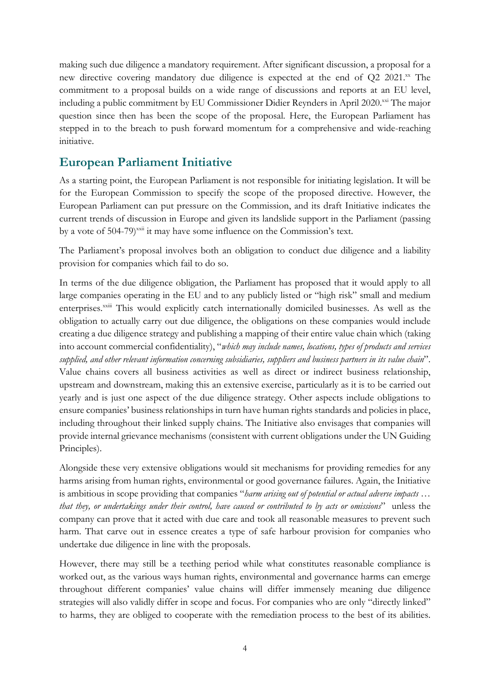making such due diligence a mandatory requirement. After significant discussion, a proposal for a new directive covering mandatory due diligence is expected at the end of Q2 2021.xx The commitment to a proposal builds on a wide range of discussions and reports at an EU level, including a public commitment by EU Commissioner Didier Reynders in April 2020.xxi The major question since then has been the scope of the proposal. Here, the European Parliament has stepped in to the breach to push forward momentum for a comprehensive and wide-reaching initiative.

## **European Parliament Initiative**

As a starting point, the European Parliament is not responsible for initiating legislation. It will be for the European Commission to specify the scope of the proposed directive. However, the European Parliament can put pressure on the Commission, and its draft Initiative indicates the current trends of discussion in Europe and given its landslide support in the Parliament (passing by a vote of 504-79)<sup>xxii</sup> it may have some influence on the Commission's text.

The Parliament's proposal involves both an obligation to conduct due diligence and a liability provision for companies which fail to do so.

In terms of the due diligence obligation, the Parliament has proposed that it would apply to all large companies operating in the EU and to any publicly listed or "high risk" small and medium enterprises.<sup>xxiii</sup> This would explicitly catch internationally domiciled businesses. As well as the obligation to actually carry out due diligence, the obligations on these companies would include creating a due diligence strategy and publishing a mapping of their entire value chain which (taking into account commercial confidentiality), "*which may include names, locations, types of products and services supplied, and other relevant information concerning subsidiaries, suppliers and business partners in its value chain*". Value chains covers all business activities as well as direct or indirect business relationship, upstream and downstream, making this an extensive exercise, particularly as it is to be carried out yearly and is just one aspect of the due diligence strategy. Other aspects include obligations to ensure companies' business relationships in turn have human rights standards and policies in place, including throughout their linked supply chains. The Initiative also envisages that companies will provide internal grievance mechanisms (consistent with current obligations under the UN Guiding Principles).

Alongside these very extensive obligations would sit mechanisms for providing remedies for any harms arising from human rights, environmental or good governance failures. Again, the Initiative is ambitious in scope providing that companies "*harm arising out of potential or actual adverse impacts … that they, or undertakings under their control, have caused or contributed to by acts or omissions*" unless the company can prove that it acted with due care and took all reasonable measures to prevent such harm. That carve out in essence creates a type of safe harbour provision for companies who undertake due diligence in line with the proposals.

However, there may still be a teething period while what constitutes reasonable compliance is worked out, as the various ways human rights, environmental and governance harms can emerge throughout different companies' value chains will differ immensely meaning due diligence strategies will also validly differ in scope and focus. For companies who are only "directly linked" to harms, they are obliged to cooperate with the remediation process to the best of its abilities.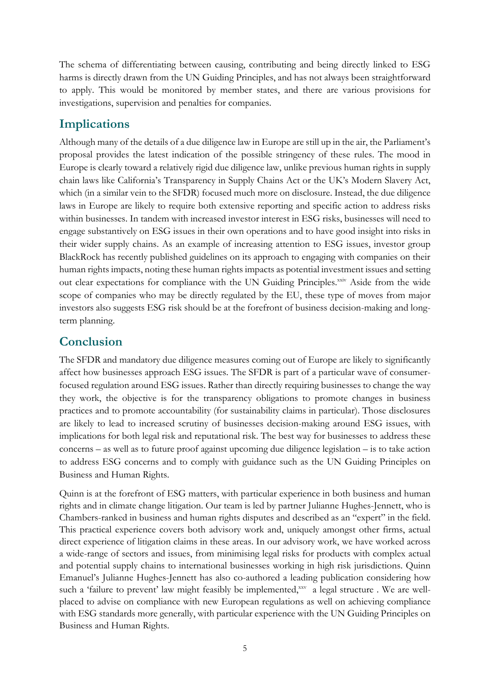The schema of differentiating between causing, contributing and being directly linked to ESG harms is directly drawn from the UN Guiding Principles, and has not always been straightforward to apply. This would be monitored by member states, and there are various provisions for investigations, supervision and penalties for companies.

#### **Implications**

Although many of the details of a due diligence law in Europe are still up in the air, the Parliament's proposal provides the latest indication of the possible stringency of these rules. The mood in Europe is clearly toward a relatively rigid due diligence law, unlike previous human rights in supply chain laws like California's Transparency in Supply Chains Act or the UK's Modern Slavery Act, which (in a similar vein to the SFDR) focused much more on disclosure. Instead, the due diligence laws in Europe are likely to require both extensive reporting and specific action to address risks within businesses. In tandem with increased investor interest in ESG risks, businesses will need to engage substantively on ESG issues in their own operations and to have good insight into risks in their wider supply chains. As an example of increasing attention to ESG issues, investor group BlackRock has recently published guidelines on its approach to engaging with companies on their human rights impacts, noting these human rights impacts as potential investment issues and setting out clear expectations for compliance with the UN Guiding Principles.<sup>xxiv</sup> Aside from the wide scope of companies who may be directly regulated by the EU, these type of moves from major investors also suggests ESG risk should be at the forefront of business decision-making and longterm planning.

#### **Conclusion**

The SFDR and mandatory due diligence measures coming out of Europe are likely to significantly affect how businesses approach ESG issues. The SFDR is part of a particular wave of consumerfocused regulation around ESG issues. Rather than directly requiring businesses to change the way they work, the objective is for the transparency obligations to promote changes in business practices and to promote accountability (for sustainability claims in particular). Those disclosures are likely to lead to increased scrutiny of businesses decision-making around ESG issues, with implications for both legal risk and reputational risk. The best way for businesses to address these concerns – as well as to future proof against upcoming due diligence legislation – is to take action to address ESG concerns and to comply with guidance such as the UN Guiding Principles on Business and Human Rights.

Quinn is at the forefront of ESG matters, with particular experience in both business and human rights and in climate change litigation. Our team is led by partner Julianne Hughes-Jennett, who is Chambers-ranked in business and human rights disputes and described as an "expert" in the field. This practical experience covers both advisory work and, uniquely amongst other firms, actual direct experience of litigation claims in these areas. In our advisory work, we have worked across a wide-range of sectors and issues, from minimising legal risks for products with complex actual and potential supply chains to international businesses working in high risk jurisdictions. Quinn Emanuel's Julianne Hughes-Jennett has also co-authored a leading publication considering how such a 'failure to prevent' law might feasibly be implemented, xxv a legal structure. We are wellplaced to advise on compliance with new European regulations as well on achieving compliance with ESG standards more generally, with particular experience with the UN Guiding Principles on Business and Human Rights.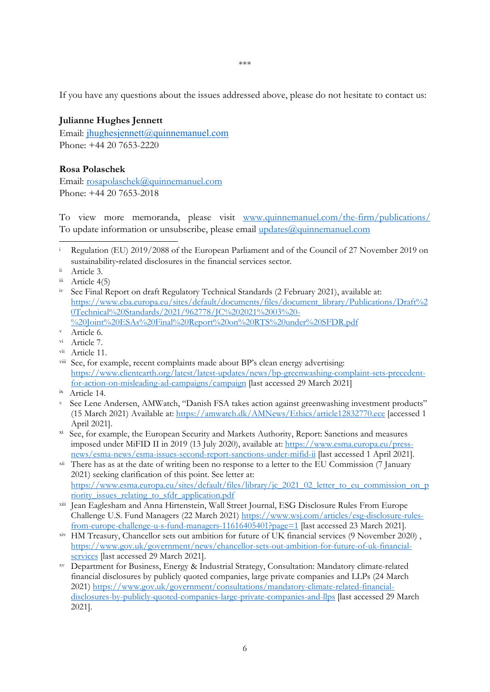If you have any questions about the issues addressed above, please do not hesitate to contact us:

#### **Julianne Hughes Jennett**

Email: jhughesjennett@quinnemanuel.com Phone: +44 20 7653-2220

#### **Rosa Polaschek**

Email: rosapolaschek@quinnemanuel.com Phone: +44 20 7653-2018

To view more memoranda, please visit www.quinnemanuel.com/the-firm/publications/ To update information or unsubscribe, please email updates@quinnemanuel.com

iv See Final Report on draft Regulatory Technical Standards (2 February 2021), available at: https://www.eba.europa.eu/sites/default/documents/files/document\_library/Publications/Draft%2 0Technical%20Standards/2021/962778/JC%202021%2003%20-%20Joint%20ESAs%20Final%20Report%20on%20RTS%20under%20SFDR.pdf<br>Naticle 6.

- vi Article 7.
- vii Article 11.
- viii See, for example, recent complaints made about BP's clean energy advertising: https://www.clientearth.org/latest/latest-updates/news/bp-greenwashing-complaint-sets-precedentfor-action-on-misleading-ad-campaigns/campaign [last accessed 29 March 2021]
- ix Article 14.
- x See Lene Andersen, AMWatch, "Danish FSA takes action against greenwashing investment products" (15 March 2021) Available at: https://amwatch.dk/AMNews/Ethics/article12832770.ece [accessed 1 April 2021].
- <sup>xi</sup> See, for example, the European Security and Markets Authority, Report: Sanctions and measures imposed under MiFID II in 2019 (13 July 2020), available at: https://www.esma.europa.eu/pressnews/esma-news/esma-issues-second-report-sanctions-under-mifid-ii [last accessed 1 April 2021].
- $xii$  There has as at the date of writing been no response to a letter to the EU Commission (7 January 2021) seeking clarification of this point. See letter at: https://www.esma.europa.eu/sites/default/files/library/jc\_2021\_02\_letter\_to\_eu\_commission\_on\_p
- riority\_issues\_relating\_to\_sfdr\_application.pdf<br>
Vall Street Journal, ESG Disclosure Rules From Europe Challenge U.S. Fund Managers (22 March 2021) https://www.wsj.com/articles/esg-disclosure-rulesfrom-europe-challenge-u-s-fund-managers-11616405401?page=1 [last accessed 23 March 2021].
- xiv HM Treasury, Chancellor sets out ambition for future of UK financial services (9 November 2020) , https://www.gov.uk/government/news/chancellor-sets-out-ambition-for-future-of-uk-financialservices [last accessed 29 March 2021]. xv Department for Business, Energy & Industrial Strategy, Consultation: Mandatory climate-related
- financial disclosures by publicly quoted companies, large private companies and LLPs (24 March 2021) https://www.gov.uk/government/consultations/mandatory-climate-related-financialdisclosures-by-publicly-quoted-companies-large-private-companies-and-llps [last accessed 29 March 2021].

i Regulation (EU) 2019/2088 of the European Parliament and of the Council of 27 November 2019 on sustainability-related disclosures in the financial services sector.<br>Article 3. -

iii Article 4(5)